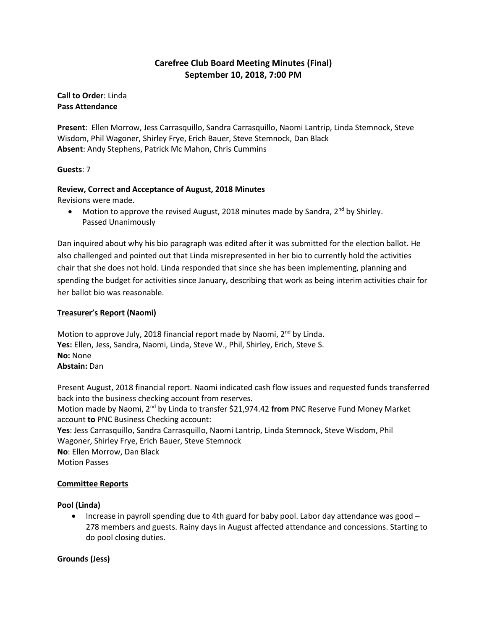# **Carefree Club Board Meeting Minutes (Final) September 10, 2018, 7:00 PM**

**Call to Order**: Linda **Pass Attendance**

**Present**: Ellen Morrow, Jess Carrasquillo, Sandra Carrasquillo, Naomi Lantrip, Linda Stemnock, Steve Wisdom, Phil Wagoner, Shirley Frye, Erich Bauer, Steve Stemnock, Dan Black **Absent**: Andy Stephens, Patrick Mc Mahon, Chris Cummins

## **Guests**: 7

# **Review, Correct and Acceptance of August, 2018 Minutes**

Revisions were made.

• Motion to approve the revised August, 2018 minutes made by Sandra,  $2^{nd}$  by Shirley. Passed Unanimously

Dan inquired about why his bio paragraph was edited after it was submitted for the election ballot. He also challenged and pointed out that Linda misrepresented in her bio to currently hold the activities chair that she does not hold. Linda responded that since she has been implementing, planning and spending the budget for activities since January, describing that work as being interim activities chair for her ballot bio was reasonable.

# **Treasurer's Report (Naomi)**

Motion to approve July, 2018 financial report made by Naomi,  $2<sup>nd</sup>$  by Linda. **Yes:** Ellen, Jess, Sandra, Naomi, Linda, Steve W., Phil, Shirley, Erich, Steve S. **No:** None **Abstain:** Dan

Present August, 2018 financial report. Naomi indicated cash flow issues and requested funds transferred back into the business checking account from reserves. Motion made by Naomi, 2nd by Linda to transfer \$21,974.42 **from** PNC Reserve Fund Money Market account **to** PNC Business Checking account: **Yes**: Jess Carrasquillo, Sandra Carrasquillo, Naomi Lantrip, Linda Stemnock, Steve Wisdom, Phil Wagoner, Shirley Frye, Erich Bauer, Steve Stemnock **No**: Ellen Morrow, Dan Black Motion Passes

## **Committee Reports**

## **Pool (Linda)**

• Increase in payroll spending due to 4th guard for baby pool. Labor day attendance was good -278 members and guests. Rainy days in August affected attendance and concessions. Starting to do pool closing duties.

## **Grounds (Jess)**